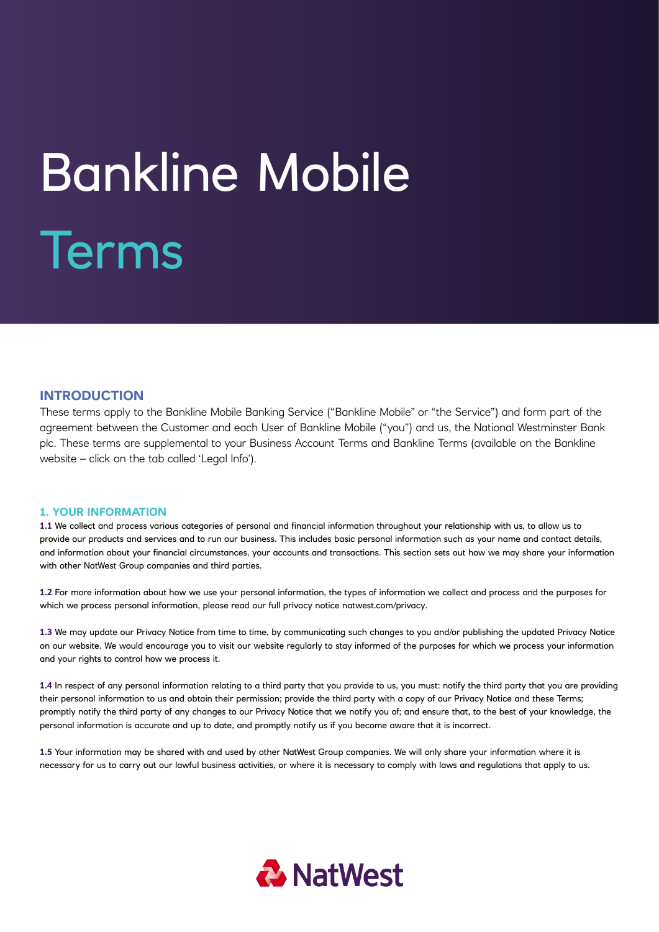# Bankline Mobile Terms

# **INTRODUCTION**

These terms apply to the Bankline Mobile Banking Service ("Bankline Mobile" or "the Service") and form part of the agreement between the Customer and each User of Bankline Mobile ("you") and us, the National Westminster Bank plc. These terms are supplemental to your Business Account Terms and Bankline Terms (available on the Bankline website – click on the tab called 'Legal Info').

# **1. YOUR INFORMATION**

**1.1** We collect and process various categories of personal and financial information throughout your relationship with us, to allow us to provide our products and services and to run our business. This includes basic personal information such as your name and contact details, and information about your financial circumstances, your accounts and transactions. This section sets out how we may share your information with other NatWest Group companies and third parties.

**1.2** For more information about how we use your personal information, the types of information we collect and process and the purposes for which we process personal information, please read our full privacy notice natwest.com/privacy.

**1.3** We may update our Privacy Notice from time to time, by communicating such changes to you and/or publishing the updated Privacy Notice on our website. We would encourage you to visit our website regularly to stay informed of the purposes for which we process your information and your rights to control how we process it.

**1.4** In respect of any personal information relating to a third party that you provide to us, you must: notify the third party that you are providing their personal information to us and obtain their permission; provide the third party with a copy of our Privacy Notice and these Terms; promptly notify the third party of any changes to our Privacy Notice that we notify you of; and ensure that, to the best of your knowledge, the personal information is accurate and up to date, and promptly notify us if you become aware that it is incorrect.

**1.5** Your information may be shared with and used by other NatWest Group companies. We will only share your information where it is necessary for us to carry out our lawful business activities, or where it is necessary to comply with laws and regulations that apply to us.

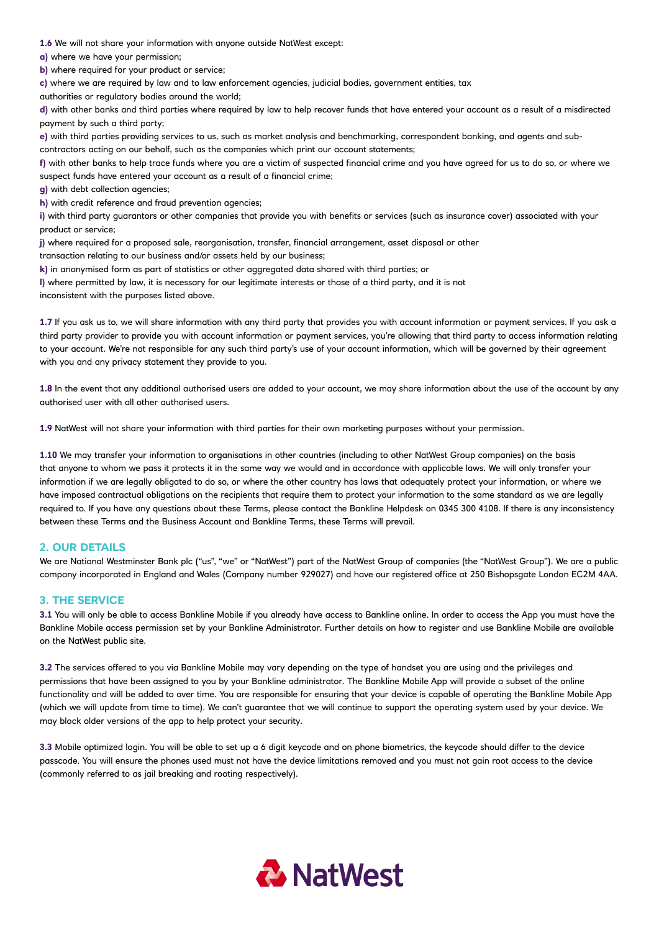**1.6** We will not share your information with anyone outside NatWest except:

**a)** where we have your permission;

**b)** where required for your product or service;

**c)** where we are required by law and to law enforcement agencies, judicial bodies, government entities, tax

authorities or regulatory bodies around the world;

**d)** with other banks and third parties where required by law to help recover funds that have entered your account as a result of a misdirected payment by such a third party;

**e)** with third parties providing services to us, such as market analysis and benchmarking, correspondent banking, and agents and sub-

contractors acting on our behalf, such as the companies which print our account statements;

**f)** with other banks to help trace funds where you are a victim of suspected financial crime and you have agreed for us to do so, or where we suspect funds have entered your account as a result of a financial crime;

**g)** with debt collection agencies;

**h)** with credit reference and fraud prevention agencies;

**i)** with third party guarantors or other companies that provide you with benefits or services (such as insurance cover) associated with your product or service;

**j)** where required for a proposed sale, reorganisation, transfer, financial arrangement, asset disposal or other

transaction relating to our business and/or assets held by our business;

**k)** in anonymised form as part of statistics or other aggregated data shared with third parties; or

**l)** where permitted by law, it is necessary for our legitimate interests or those of a third party, and it is not

inconsistent with the purposes listed above.

**1.7** If you ask us to, we will share information with any third party that provides you with account information or payment services. If you ask a third party provider to provide you with account information or payment services, you're allowing that third party to access information relating to your account. We're not responsible for any such third party's use of your account information, which will be governed by their agreement with you and any privacy statement they provide to you.

**1.8** In the event that any additional authorised users are added to your account, we may share information about the use of the account by any authorised user with all other authorised users.

**1.9** NatWest will not share your information with third parties for their own marketing purposes without your permission.

**1.10** We may transfer your information to organisations in other countries (including to other NatWest Group companies) on the basis that anyone to whom we pass it protects it in the same way we would and in accordance with applicable laws. We will only transfer your information if we are legally obligated to do so, or where the other country has laws that adequately protect your information, or where we have imposed contractual obligations on the recipients that require them to protect your information to the same standard as we are legally required to. If you have any questions about these Terms, please contact the Bankline Helpdesk on 0345 300 4108. If there is any inconsistency between these Terms and the Business Account and Bankline Terms, these Terms will prevail.

# **2. OUR DETAILS**

We are National Westminster Bank plc ("us", "we" or "NatWest") part of the NatWest Group of companies (the "NatWest Group"). We are a public company incorporated in England and Wales (Company number 929027) and have our registered office at 250 Bishopsgate London EC2M 4AA.

# **3. THE SERVICE**

**3.1** You will only be able to access Bankline Mobile if you already have access to Bankline online. In order to access the App you must have the Bankline Mobile access permission set by your Bankline Administrator. Further details on how to register and use Bankline Mobile are available on the NatWest public site.

**3.2** The services offered to you via Bankline Mobile may vary depending on the type of handset you are using and the privileges and permissions that have been assigned to you by your Bankline administrator. The Bankline Mobile App will provide a subset of the online functionality and will be added to over time. You are responsible for ensuring that your device is capable of operating the Bankline Mobile App (which we will update from time to time). We can't guarantee that we will continue to support the operating system used by your device. We may block older versions of the app to help protect your security.

**3.3** Mobile optimized login. You will be able to set up a 6 digit keycode and on phone biometrics, the keycode should differ to the device passcode. You will ensure the phones used must not have the device limitations removed and you must not gain root access to the device (commonly referred to as jail breaking and rooting respectively).

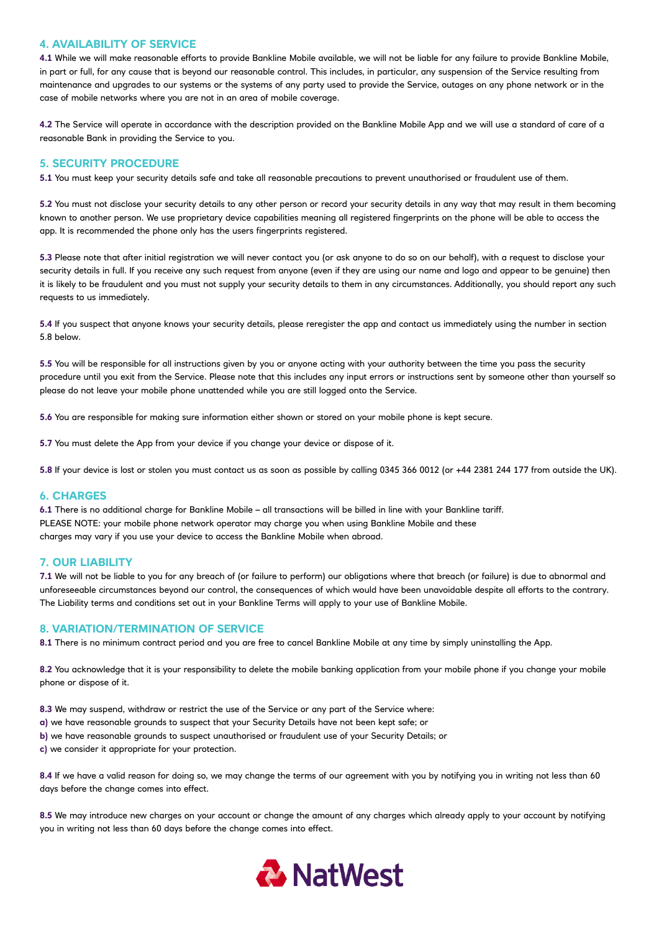# **4. AVAILABILITY OF SERVICE**

**4.1** While we will make reasonable efforts to provide Bankline Mobile available, we will not be liable for any failure to provide Bankline Mobile, in part or full, for any cause that is beyond our reasonable control. This includes, in particular, any suspension of the Service resulting from maintenance and upgrades to our systems or the systems of any party used to provide the Service, outages on any phone network or in the case of mobile networks where you are not in an area of mobile coverage.

**4.2** The Service will operate in accordance with the description provided on the Bankline Mobile App and we will use a standard of care of a reasonable Bank in providing the Service to you.

## **5. SECURITY PROCEDURE**

**5.1** You must keep your security details safe and take all reasonable precautions to prevent unauthorised or fraudulent use of them.

**5.2** You must not disclose your security details to any other person or record your security details in any way that may result in them becoming known to another person. We use proprietary device capabilities meaning all registered fingerprints on the phone will be able to access the app. It is recommended the phone only has the users fingerprints registered.

**5.3** Please note that after initial registration we will never contact you (or ask anyone to do so on our behalf), with a request to disclose your security details in full. If you receive any such request from anyone (even if they are using our name and logo and appear to be genuine) then it is likely to be fraudulent and you must not supply your security details to them in any circumstances. Additionally, you should report any such requests to us immediately.

**5.4** If you suspect that anyone knows your security details, please reregister the app and contact us immediately using the number in section 5.8 below.

**5.5** You will be responsible for all instructions given by you or anyone acting with your authority between the time you pass the security procedure until you exit from the Service. Please note that this includes any input errors or instructions sent by someone other than yourself so please do not leave your mobile phone unattended while you are still logged onto the Service.

**5.6** You are responsible for making sure information either shown or stored on your mobile phone is kept secure.

**5.7** You must delete the App from your device if you change your device or dispose of it.

**5.8** If your device is lost or stolen you must contact us as soon as possible by calling 0345 366 0012 (or +44 2381 244 177 from outside the UK).

#### **6. CHARGES**

**6.1** There is no additional charge for Bankline Mobile – all transactions will be billed in line with your Bankline tariff. PLEASE NOTE: your mobile phone network operator may charge you when using Bankline Mobile and these charges may vary if you use your device to access the Bankline Mobile when abroad.

# **7. OUR LIABILITY**

**7.1** We will not be liable to you for any breach of (or failure to perform) our obligations where that breach (or failure) is due to abnormal and unforeseeable circumstances beyond our control, the consequences of which would have been unavoidable despite all efforts to the contrary. The Liability terms and conditions set out in your Bankline Terms will apply to your use of Bankline Mobile.

### **8. VARIATION/TERMINATION OF SERVICE**

**8.1** There is no minimum contract period and you are free to cancel Bankline Mobile at any time by simply uninstalling the App.

**8.2** You acknowledge that it is your responsibility to delete the mobile banking application from your mobile phone if you change your mobile phone or dispose of it.

**8.3** We may suspend, withdraw or restrict the use of the Service or any part of the Service where:

- **a)** we have reasonable grounds to suspect that your Security Details have not been kept safe; or
- **b)** we have reasonable grounds to suspect unauthorised or fraudulent use of your Security Details; or
- **c)** we consider it appropriate for your protection.

**8.4** If we have a valid reason for doing so, we may change the terms of our agreement with you by notifying you in writing not less than 60 days before the change comes into effect.

**8.5** We may introduce new charges on your account or change the amount of any charges which already apply to your account by notifying you in writing not less than 60 days before the change comes into effect.